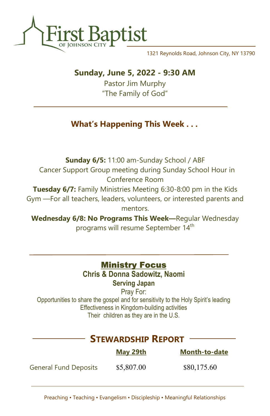

1321 Reynolds Road, Johnson City, NY 13790

## Sunday, June 5, 2022 - 9:30 AM

Pastor Jim Murphy "The Family of God"

# What's Happening This Week . . .

Sunday 6/5: 11:00 am-Sunday School / ABF Cancer Support Group meeting during Sunday School Hour in Conference Room Tuesday 6/7: Family Ministries Meeting 6:30-8:00 pm in the Kids Gym —For all teachers, leaders, volunteers, or interested parents and mentors.

Wednesday 6/8: No Programs This Week—Regular Wednesday programs will resume September 14<sup>th</sup>

## **Ministry Focus**

Chris & Donna Sadowitz, Naomi Serving Japan

Pray For: Opportunities to share the gospel and for sensitivity to the Holy Spirit's leading Effectiveness in Kingdom-building activities Their children as they are in the U.S.

# STEWARDSHIP REPORT

|                              | <u>May 29th</u> | <b>Month-to-date</b> |
|------------------------------|-----------------|----------------------|
| <b>General Fund Deposits</b> | \$5,807.00      | \$80,175.60          |